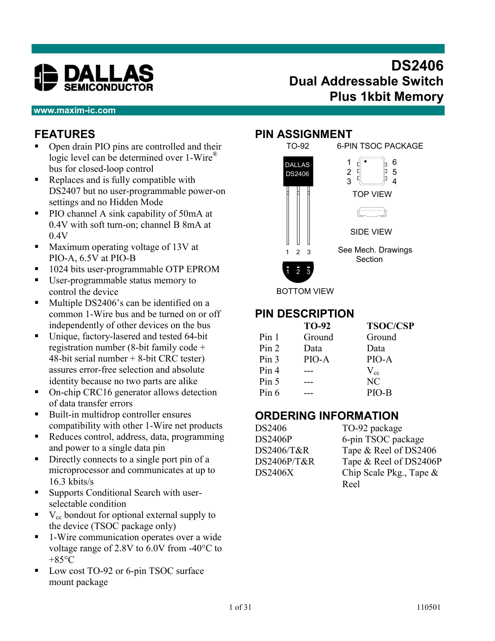

# **DS2406 Dual Addressable Switch Plus 1kbit Memory**

#### **www.maxim-ic.com**

# **FEATURES**

- Open drain PIO pins are controlled and their logic level can be determined over 1-Wire<sup>®</sup> bus for closed-loop control
- Replaces and is fully compatible with DS2407 but no user-programmable power-on settings and no Hidden Mode
- PIO channel A sink capability of 50mA at 0.4V with soft turn-on; channel B 8mA at 0.4V
- Maximum operating voltage of 13V at PIO-A, 6.5V at PIO-B
- 1024 bits user-programmable OTP EPROM
- User-programmable status memory to control the device
- Multiple DS2406's can be identified on a common 1-Wire bus and be turned on or off independently of other devices on the bus
- Unique, factory-lasered and tested 64-bit registration number (8-bit family code + 48-bit serial number + 8-bit CRC tester) assures error-free selection and absolute identity because no two parts are alike
- On-chip CRC16 generator allows detection of data transfer errors
- Built-in multidrop controller ensures compatibility with other 1-Wire net products
- Reduces control, address, data, programming and power to a single data pin
- Directly connects to a single port pin of a microprocessor and communicates at up to 16.3 kbits/s
- Supports Conditional Search with userselectable condition
- $\bullet$  V<sub>cc</sub> bondout for optional external supply to the device (TSOC package only)
- 1-Wire communication operates over a wide voltage range of 2.8V to 6.0V from -40°C to  $+85^{\circ}$ C
- Low cost TO-92 or 6-pin TSOC surface mount package

#### **PIN ASSIGNMENT**



## **PIN DESCRIPTION**

|                  | TO-92  | <b>TSOC/CSP</b> |
|------------------|--------|-----------------|
| Pin 1            | Ground | Ground          |
| Pin 2            | Data   | Data            |
| Pin <sub>3</sub> | PIO-A  | PIO-A           |
| Pin 4            |        | $V_{cc}$        |
| Pin 5            |        | NC              |
| Pin 6            |        | PIO-B           |

## **ORDERING INFORMATION**

DS2406 TO-92 package

DS2406P 6-pin TSOC package DS2406/T&R Tape & Reel of DS2406 DS2406P/T&R Tape & Reel of DS2406P DS2406X Chip Scale Pkg., Tape & Reel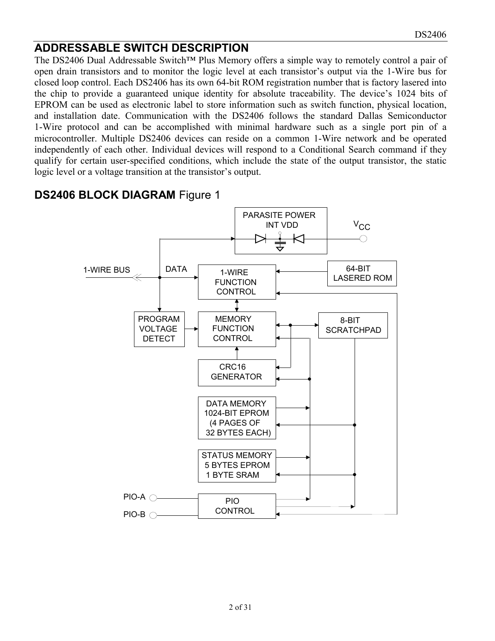# **ADDRESSABLE SWITCH DESCRIPTION**

The DS2406 Dual Addressable Switch™ Plus Memory offers a simple way to remotely control a pair of open drain transistors and to monitor the logic level at each transistor's output via the 1-Wire bus for closed loop control. Each DS2406 has its own 64-bit ROM registration number that is factory lasered into the chip to provide a guaranteed unique identity for absolute traceability. The device's 1024 bits of EPROM can be used as electronic label to store information such as switch function, physical location, and installation date. Communication with the DS2406 follows the standard Dallas Semiconductor 1-Wire protocol and can be accomplished with minimal hardware such as a single port pin of a microcontroller. Multiple DS2406 devices can reside on a common 1-Wire network and be operated independently of each other. Individual devices will respond to a Conditional Search command if they qualify for certain user-specified conditions, which include the state of the output transistor, the static logic level or a voltage transition at the transistor's output.



# **DS2406 BLOCK DIAGRAM** Figure 1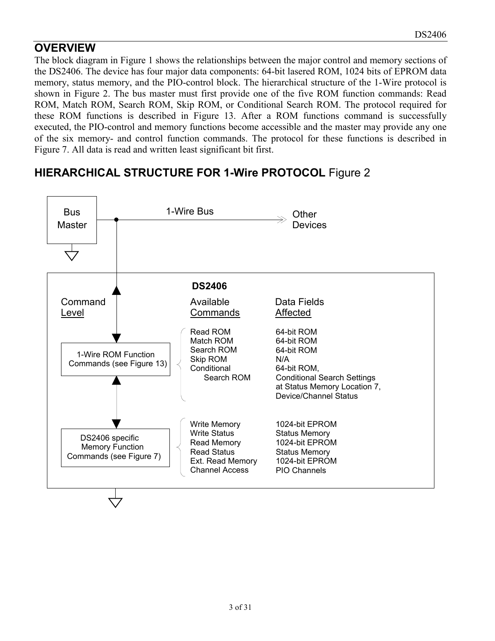# **OVERVIEW**

The block diagram in Figure 1 shows the relationships between the major control and memory sections of the DS2406. The device has four major data components: 64-bit lasered ROM, 1024 bits of EPROM data memory, status memory, and the PIO-control block. The hierarchical structure of the 1-Wire protocol is shown in Figure 2. The bus master must first provide one of the five ROM function commands: Read ROM, Match ROM, Search ROM, Skip ROM, or Conditional Search ROM. The protocol required for these ROM functions is described in Figure 13. After a ROM functions command is successfully executed, the PIO-control and memory functions become accessible and the master may provide any one of the six memory- and control function commands. The protocol for these functions is described in Figure 7. All data is read and written least significant bit first.

# **HIERARCHICAL STRUCTURE FOR 1-Wire PROTOCOL** Figure 2

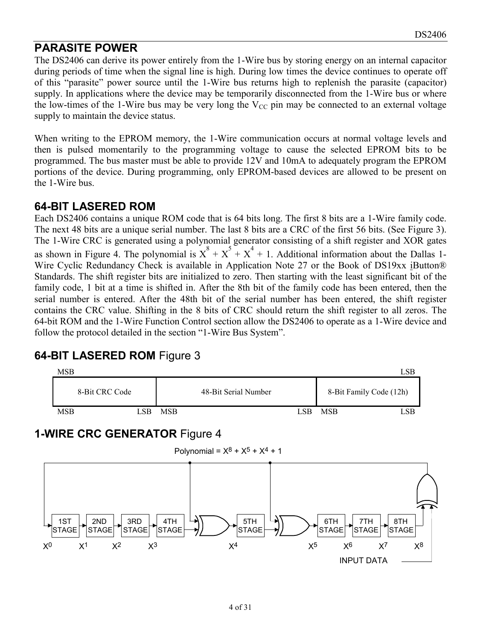## **PARASITE POWER**

The DS2406 can derive its power entirely from the 1-Wire bus by storing energy on an internal capacitor during periods of time when the signal line is high. During low times the device continues to operate off of this "parasite" power source until the 1-Wire bus returns high to replenish the parasite (capacitor) supply. In applications where the device may be temporarily disconnected from the 1-Wire bus or where the low-times of the 1-Wire bus may be very long the  $V_{CC}$  pin may be connected to an external voltage supply to maintain the device status.

When writing to the EPROM memory, the 1-Wire communication occurs at normal voltage levels and then is pulsed momentarily to the programming voltage to cause the selected EPROM bits to be programmed. The bus master must be able to provide 12V and 10mA to adequately program the EPROM portions of the device. During programming, only EPROM-based devices are allowed to be present on the 1-Wire bus.

## **64-BIT LASERED ROM**

Each DS2406 contains a unique ROM code that is 64 bits long. The first 8 bits are a 1-Wire family code. The next 48 bits are a unique serial number. The last 8 bits are a CRC of the first 56 bits. (See Figure 3). The 1-Wire CRC is generated using a polynomial generator consisting of a shift register and XOR gates as shown in Figure 4. The polynomial is  $X^8 + X^5 + X^4 + 1$ . Additional information about the Dallas 1-Wire Cyclic Redundancy Check is available in Application Note 27 or the Book of DS19xx iButton® Standards. The shift register bits are initialized to zero. Then starting with the least significant bit of the family code, 1 bit at a time is shifted in. After the 8th bit of the family code has been entered, then the serial number is entered. After the 48th bit of the serial number has been entered, the shift register contains the CRC value. Shifting in the 8 bits of CRC should return the shift register to all zeros. The 64-bit ROM and the 1-Wire Function Control section allow the DS2406 to operate as a 1-Wire device and follow the protocol detailed in the section "1-Wire Bus System".

# MSB LSB 8-Bit CRC Code 48-Bit Serial Number 8-Bit Family Code (12h) MSB LSB MSB LSB MSB LSB MSB LSB MSB LSB LSB MSB LSB MSB LSB MSB LSB LSB MSB LSB LSB LSB MSB LSB LSB LSB LSB MSB LSB LSB  $\sim$  LSB MSB LSB  $\sim$  LSB MSB LSB  $\sim$  LSB MSB LSB LSB MSB LSB LSB MSB LSB LSB MSB LSB MSB LSB MSB LSB **1-WIRE CRC GENERATOR** Figure 4 Polynomial =  $X^8 + X^5 + X^4 + 1$



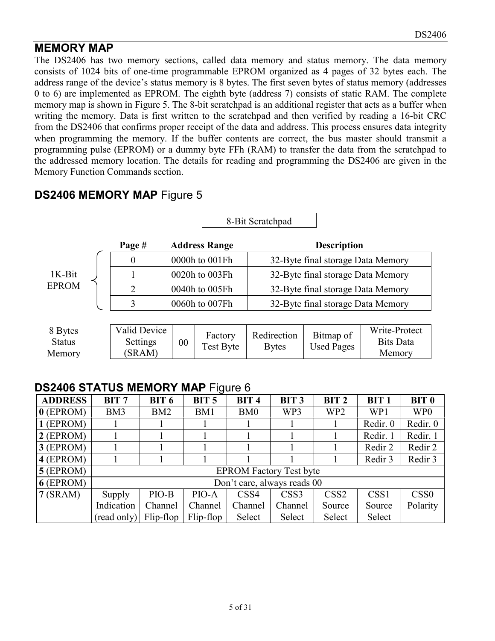# **MEMORY MAP**

The DS2406 has two memory sections, called data memory and status memory. The data memory consists of 1024 bits of one-time programmable EPROM organized as 4 pages of 32 bytes each. The address range of the device's status memory is 8 bytes. The first seven bytes of status memory (addresses 0 to 6) are implemented as EPROM. The eighth byte (address 7) consists of static RAM. The complete memory map is shown in Figure 5. The 8-bit scratchpad is an additional register that acts as a buffer when writing the memory. Data is first written to the scratchpad and then verified by reading a 16-bit CRC from the DS2406 that confirms proper receipt of the data and address. This process ensures data integrity when programming the memory. If the buffer contents are correct, the bus master should transmit a programming pulse (EPROM) or a dummy byte FFh (RAM) to transfer the data from the scratchpad to the addressed memory location. The details for reading and programming the DS2406 are given in the Memory Function Commands section.

# **DS2406 MEMORY MAP** Figure 5

|                          |        |              |    |                      | 8-Bit Scratchpad |                                   |                  |  |  |  |
|--------------------------|--------|--------------|----|----------------------|------------------|-----------------------------------|------------------|--|--|--|
|                          |        | Page #       |    | <b>Address Range</b> |                  | <b>Description</b>                |                  |  |  |  |
|                          |        | $\theta$     |    | 0000h to 001Fh       |                  | 32-Byte final storage Data Memory |                  |  |  |  |
| $1K-Bit$<br><b>EPROM</b> |        |              |    |                      | 0020h to 003Fh   | 32-Byte final storage Data Memory |                  |  |  |  |
|                          |        | 2            |    | 0040h to 005Fh       |                  | 32-Byte final storage Data Memory |                  |  |  |  |
|                          |        | 3            |    | 0060h to 007Fh       |                  | 32-Byte final storage Data Memory |                  |  |  |  |
|                          |        |              |    |                      |                  |                                   |                  |  |  |  |
| 8 Bytes                  |        | Valid Device |    | Factory              | Redirection      | Bitmap of                         | Write-Protect    |  |  |  |
| <b>Status</b><br>Memory  |        | Settings     | 00 | Test Byte            | <b>Bytes</b>     | <b>Used Pages</b>                 | <b>Bits Data</b> |  |  |  |
|                          | (SRAM) |              |    |                      |                  | Memory                            |                  |  |  |  |

Г

## **DS2406 STATUS MEMORY MAP Figure 6**

| <b>ADDRESS</b> | BIT7                 | <b>BIT 6</b> | ັ<br>BIT <sub>5</sub> | BIT <sub>4</sub> | BIT <sub>3</sub>               | BIT <sub>2</sub> | BIT <sub>1</sub> | <b>BIT 0</b>     |
|----------------|----------------------|--------------|-----------------------|------------------|--------------------------------|------------------|------------------|------------------|
| $0$ (EPROM)    | BM3                  |              | BM1                   | BM0              | WP3                            | WP <sub>2</sub>  | WP1              | WP <sub>0</sub>  |
| 1 (EPROM)      |                      |              |                       |                  |                                |                  | Redir. 0         | Redir. 0         |
| $2$ (EPROM)    |                      |              |                       |                  |                                |                  | Redir. 1         | Redir. 1         |
| $3$ (EPROM)    |                      |              |                       |                  |                                |                  | Redir 2          | Redir 2          |
| 4 (EPROM)      |                      |              |                       |                  |                                |                  | Redir 3          | Redir 3          |
| $5$ (EPROM)    |                      |              |                       |                  | <b>EPROM Factory Test byte</b> |                  |                  |                  |
| 6 (EPROM)      |                      |              |                       |                  | Don't care, always reads 00    |                  |                  |                  |
| 7(SRAM)        | Supply               | PIO-B        | PIO-A                 | CSS4             | CSS <sub>3</sub>               | CSS <sub>2</sub> | CSS <sub>1</sub> | CSS <sub>0</sub> |
|                | Indication           | Channel      | Channel               | Channel          | Channel                        | Source           | Source           | Polarity         |
|                | $(\text{read only})$ | Flip-flop    | Flip-flop             | Select           | Select                         | Select           | Select           |                  |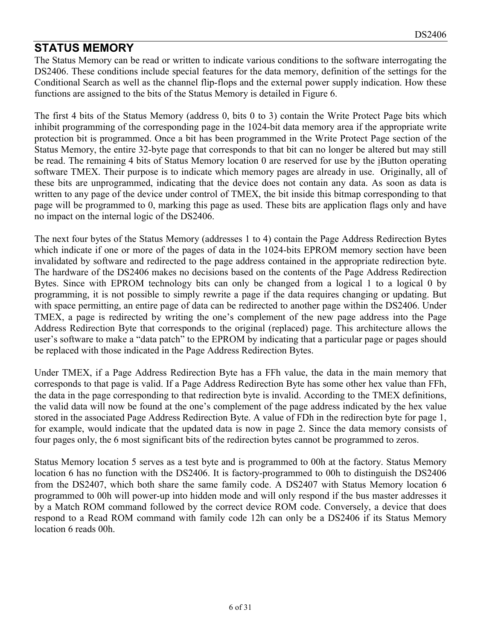## **STATUS MEMORY**

The Status Memory can be read or written to indicate various conditions to the software interrogating the DS2406. These conditions include special features for the data memory, definition of the settings for the Conditional Search as well as the channel flip-flops and the external power supply indication. How these functions are assigned to the bits of the Status Memory is detailed in Figure 6.

The first 4 bits of the Status Memory (address 0, bits 0 to 3) contain the Write Protect Page bits which inhibit programming of the corresponding page in the 1024-bit data memory area if the appropriate write protection bit is programmed. Once a bit has been programmed in the Write Protect Page section of the Status Memory, the entire 32-byte page that corresponds to that bit can no longer be altered but may still be read. The remaining 4 bits of Status Memory location 0 are reserved for use by the iButton operating software TMEX. Their purpose is to indicate which memory pages are already in use. Originally, all of these bits are unprogrammed, indicating that the device does not contain any data. As soon as data is written to any page of the device under control of TMEX, the bit inside this bitmap corresponding to that page will be programmed to 0, marking this page as used. These bits are application flags only and have no impact on the internal logic of the DS2406.

The next four bytes of the Status Memory (addresses 1 to 4) contain the Page Address Redirection Bytes which indicate if one or more of the pages of data in the 1024-bits EPROM memory section have been invalidated by software and redirected to the page address contained in the appropriate redirection byte. The hardware of the DS2406 makes no decisions based on the contents of the Page Address Redirection Bytes. Since with EPROM technology bits can only be changed from a logical 1 to a logical 0 by programming, it is not possible to simply rewrite a page if the data requires changing or updating. But with space permitting, an entire page of data can be redirected to another page within the DS2406. Under TMEX, a page is redirected by writing the one's complement of the new page address into the Page Address Redirection Byte that corresponds to the original (replaced) page. This architecture allows the user's software to make a "data patch" to the EPROM by indicating that a particular page or pages should be replaced with those indicated in the Page Address Redirection Bytes.

Under TMEX, if a Page Address Redirection Byte has a FFh value, the data in the main memory that corresponds to that page is valid. If a Page Address Redirection Byte has some other hex value than FFh, the data in the page corresponding to that redirection byte is invalid. According to the TMEX definitions, the valid data will now be found at the one's complement of the page address indicated by the hex value stored in the associated Page Address Redirection Byte. A value of FDh in the redirection byte for page 1, for example, would indicate that the updated data is now in page 2. Since the data memory consists of four pages only, the 6 most significant bits of the redirection bytes cannot be programmed to zeros.

Status Memory location 5 serves as a test byte and is programmed to 00h at the factory. Status Memory location 6 has no function with the DS2406. It is factory-programmed to 00h to distinguish the DS2406 from the DS2407, which both share the same family code. A DS2407 with Status Memory location 6 programmed to 00h will power-up into hidden mode and will only respond if the bus master addresses it by a Match ROM command followed by the correct device ROM code. Conversely, a device that does respond to a Read ROM command with family code 12h can only be a DS2406 if its Status Memory location 6 reads 00h.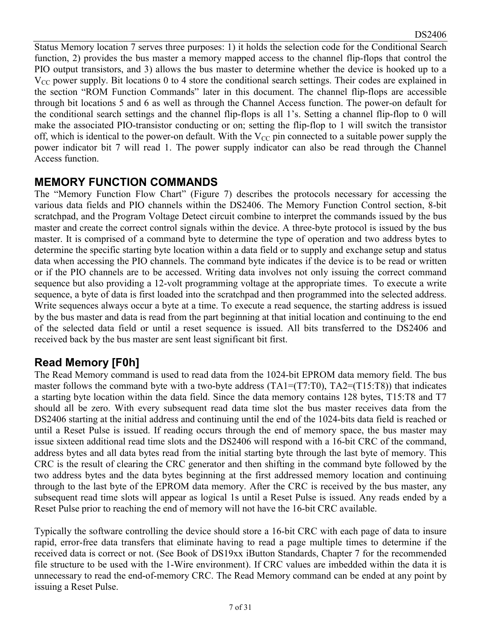Status Memory location 7 serves three purposes: 1) it holds the selection code for the Conditional Search function, 2) provides the bus master a memory mapped access to the channel flip-flops that control the PIO output transistors, and 3) allows the bus master to determine whether the device is hooked up to a  $V_{CC}$  power supply. Bit locations 0 to 4 store the conditional search settings. Their codes are explained in the section "ROM Function Commands" later in this document. The channel flip-flops are accessible through bit locations 5 and 6 as well as through the Channel Access function. The power-on default for the conditional search settings and the channel flip-flops is all 1's. Setting a channel flip-flop to 0 will make the associated PIO-transistor conducting or on; setting the flip-flop to 1 will switch the transistor off, which is identical to the power-on default. With the  $V_{CC}$  pin connected to a suitable power supply the power indicator bit 7 will read 1. The power supply indicator can also be read through the Channel Access function.

## **MEMORY FUNCTION COMMANDS**

The "Memory Function Flow Chart" (Figure 7) describes the protocols necessary for accessing the various data fields and PIO channels within the DS2406. The Memory Function Control section, 8-bit scratchpad, and the Program Voltage Detect circuit combine to interpret the commands issued by the bus master and create the correct control signals within the device. A three-byte protocol is issued by the bus master. It is comprised of a command byte to determine the type of operation and two address bytes to determine the specific starting byte location within a data field or to supply and exchange setup and status data when accessing the PIO channels. The command byte indicates if the device is to be read or written or if the PIO channels are to be accessed. Writing data involves not only issuing the correct command sequence but also providing a 12-volt programming voltage at the appropriate times. To execute a write sequence, a byte of data is first loaded into the scratchpad and then programmed into the selected address. Write sequences always occur a byte at a time. To execute a read sequence, the starting address is issued by the bus master and data is read from the part beginning at that initial location and continuing to the end of the selected data field or until a reset sequence is issued. All bits transferred to the DS2406 and received back by the bus master are sent least significant bit first.

# **Read Memory [F0h]**

The Read Memory command is used to read data from the 1024-bit EPROM data memory field. The bus master follows the command byte with a two-byte address  $(TA1=(T7:T0), TA2=(T15:T8))$  that indicates a starting byte location within the data field. Since the data memory contains 128 bytes, T15:T8 and T7 should all be zero. With every subsequent read data time slot the bus master receives data from the DS2406 starting at the initial address and continuing until the end of the 1024-bits data field is reached or until a Reset Pulse is issued. If reading occurs through the end of memory space, the bus master may issue sixteen additional read time slots and the DS2406 will respond with a 16-bit CRC of the command, address bytes and all data bytes read from the initial starting byte through the last byte of memory. This CRC is the result of clearing the CRC generator and then shifting in the command byte followed by the two address bytes and the data bytes beginning at the first addressed memory location and continuing through to the last byte of the EPROM data memory. After the CRC is received by the bus master, any subsequent read time slots will appear as logical 1s until a Reset Pulse is issued. Any reads ended by a Reset Pulse prior to reaching the end of memory will not have the 16-bit CRC available.

Typically the software controlling the device should store a 16-bit CRC with each page of data to insure rapid, error-free data transfers that eliminate having to read a page multiple times to determine if the received data is correct or not. (See Book of DS19xx iButton Standards, Chapter 7 for the recommended file structure to be used with the 1-Wire environment). If CRC values are imbedded within the data it is unnecessary to read the end-of-memory CRC. The Read Memory command can be ended at any point by issuing a Reset Pulse.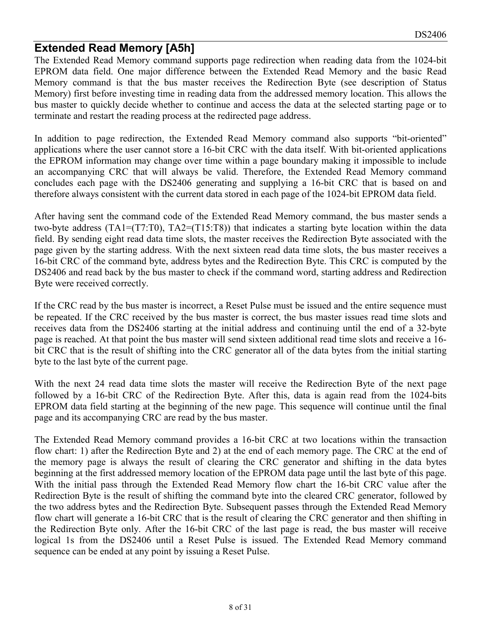## **Extended Read Memory [A5h]**

The Extended Read Memory command supports page redirection when reading data from the 1024-bit EPROM data field. One major difference between the Extended Read Memory and the basic Read Memory command is that the bus master receives the Redirection Byte (see description of Status Memory) first before investing time in reading data from the addressed memory location. This allows the bus master to quickly decide whether to continue and access the data at the selected starting page or to terminate and restart the reading process at the redirected page address.

In addition to page redirection, the Extended Read Memory command also supports "bit-oriented" applications where the user cannot store a 16-bit CRC with the data itself. With bit-oriented applications the EPROM information may change over time within a page boundary making it impossible to include an accompanying CRC that will always be valid. Therefore, the Extended Read Memory command concludes each page with the DS2406 generating and supplying a 16-bit CRC that is based on and therefore always consistent with the current data stored in each page of the 1024-bit EPROM data field.

After having sent the command code of the Extended Read Memory command, the bus master sends a two-byte address (TA1=(T7:T0), TA2=(T15:T8)) that indicates a starting byte location within the data field. By sending eight read data time slots, the master receives the Redirection Byte associated with the page given by the starting address. With the next sixteen read data time slots, the bus master receives a 16-bit CRC of the command byte, address bytes and the Redirection Byte. This CRC is computed by the DS2406 and read back by the bus master to check if the command word, starting address and Redirection Byte were received correctly.

If the CRC read by the bus master is incorrect, a Reset Pulse must be issued and the entire sequence must be repeated. If the CRC received by the bus master is correct, the bus master issues read time slots and receives data from the DS2406 starting at the initial address and continuing until the end of a 32-byte page is reached. At that point the bus master will send sixteen additional read time slots and receive a 16 bit CRC that is the result of shifting into the CRC generator all of the data bytes from the initial starting byte to the last byte of the current page.

With the next 24 read data time slots the master will receive the Redirection Byte of the next page followed by a 16-bit CRC of the Redirection Byte. After this, data is again read from the 1024-bits EPROM data field starting at the beginning of the new page. This sequence will continue until the final page and its accompanying CRC are read by the bus master.

The Extended Read Memory command provides a 16-bit CRC at two locations within the transaction flow chart: 1) after the Redirection Byte and 2) at the end of each memory page. The CRC at the end of the memory page is always the result of clearing the CRC generator and shifting in the data bytes beginning at the first addressed memory location of the EPROM data page until the last byte of this page. With the initial pass through the Extended Read Memory flow chart the 16-bit CRC value after the Redirection Byte is the result of shifting the command byte into the cleared CRC generator, followed by the two address bytes and the Redirection Byte. Subsequent passes through the Extended Read Memory flow chart will generate a 16-bit CRC that is the result of clearing the CRC generator and then shifting in the Redirection Byte only. After the 16-bit CRC of the last page is read, the bus master will receive logical 1s from the DS2406 until a Reset Pulse is issued. The Extended Read Memory command sequence can be ended at any point by issuing a Reset Pulse.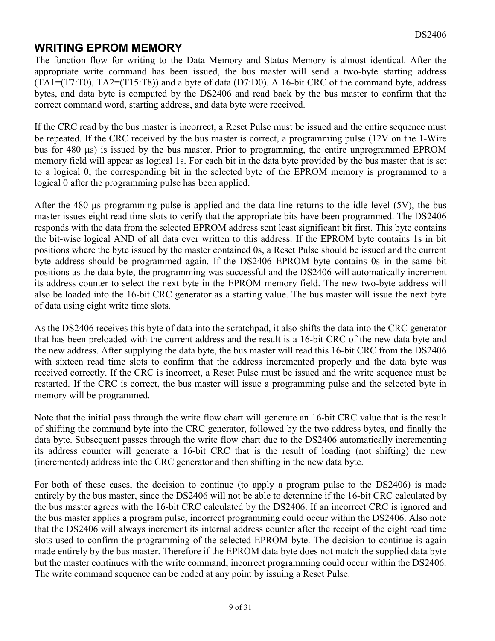## **WRITING EPROM MEMORY**

The function flow for writing to the Data Memory and Status Memory is almost identical. After the appropriate write command has been issued, the bus master will send a two-byte starting address (TA1=(T7:T0), TA2=(T15:T8)) and a byte of data (D7:D0). A 16-bit CRC of the command byte, address bytes, and data byte is computed by the DS2406 and read back by the bus master to confirm that the correct command word, starting address, and data byte were received.

If the CRC read by the bus master is incorrect, a Reset Pulse must be issued and the entire sequence must be repeated. If the CRC received by the bus master is correct, a programming pulse (12V on the 1-Wire bus for 480 µs) is issued by the bus master. Prior to programming, the entire unprogrammed EPROM memory field will appear as logical 1s. For each bit in the data byte provided by the bus master that is set to a logical 0, the corresponding bit in the selected byte of the EPROM memory is programmed to a logical 0 after the programming pulse has been applied.

After the 480 µs programming pulse is applied and the data line returns to the idle level (5V), the bus master issues eight read time slots to verify that the appropriate bits have been programmed. The DS2406 responds with the data from the selected EPROM address sent least significant bit first. This byte contains the bit-wise logical AND of all data ever written to this address. If the EPROM byte contains 1s in bit positions where the byte issued by the master contained 0s, a Reset Pulse should be issued and the current byte address should be programmed again. If the DS2406 EPROM byte contains 0s in the same bit positions as the data byte, the programming was successful and the DS2406 will automatically increment its address counter to select the next byte in the EPROM memory field. The new two-byte address will also be loaded into the 16-bit CRC generator as a starting value. The bus master will issue the next byte of data using eight write time slots.

As the DS2406 receives this byte of data into the scratchpad, it also shifts the data into the CRC generator that has been preloaded with the current address and the result is a 16-bit CRC of the new data byte and the new address. After supplying the data byte, the bus master will read this 16-bit CRC from the DS2406 with sixteen read time slots to confirm that the address incremented properly and the data byte was received correctly. If the CRC is incorrect, a Reset Pulse must be issued and the write sequence must be restarted. If the CRC is correct, the bus master will issue a programming pulse and the selected byte in memory will be programmed.

Note that the initial pass through the write flow chart will generate an 16-bit CRC value that is the result of shifting the command byte into the CRC generator, followed by the two address bytes, and finally the data byte. Subsequent passes through the write flow chart due to the DS2406 automatically incrementing its address counter will generate a 16-bit CRC that is the result of loading (not shifting) the new (incremented) address into the CRC generator and then shifting in the new data byte.

For both of these cases, the decision to continue (to apply a program pulse to the DS2406) is made entirely by the bus master, since the DS2406 will not be able to determine if the 16-bit CRC calculated by the bus master agrees with the 16-bit CRC calculated by the DS2406. If an incorrect CRC is ignored and the bus master applies a program pulse, incorrect programming could occur within the DS2406. Also note that the DS2406 will always increment its internal address counter after the receipt of the eight read time slots used to confirm the programming of the selected EPROM byte. The decision to continue is again made entirely by the bus master. Therefore if the EPROM data byte does not match the supplied data byte but the master continues with the write command, incorrect programming could occur within the DS2406. The write command sequence can be ended at any point by issuing a Reset Pulse.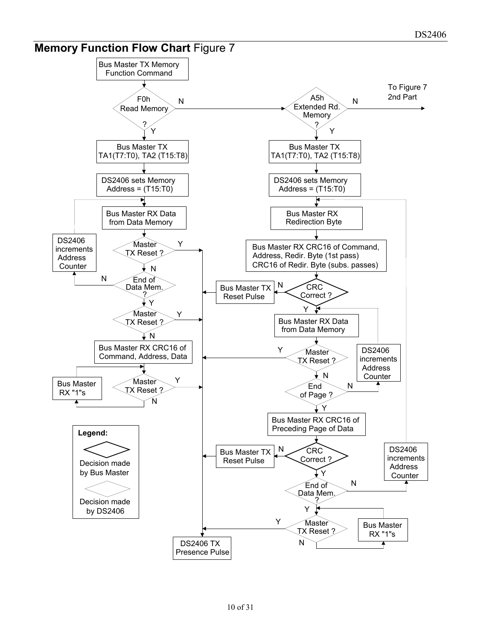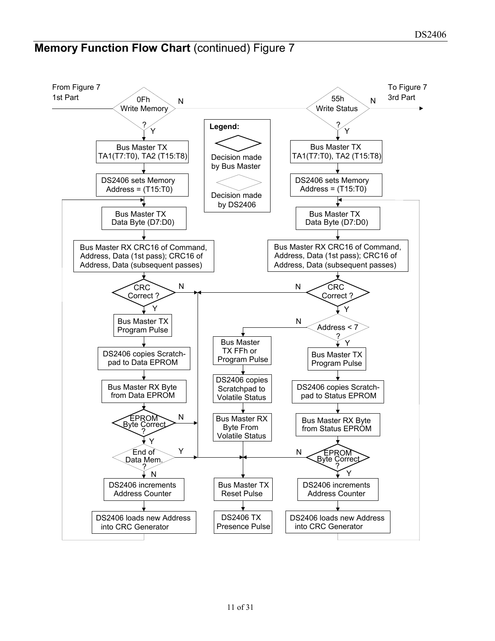# **Memory Function Flow Chart (continued) Figure 7**

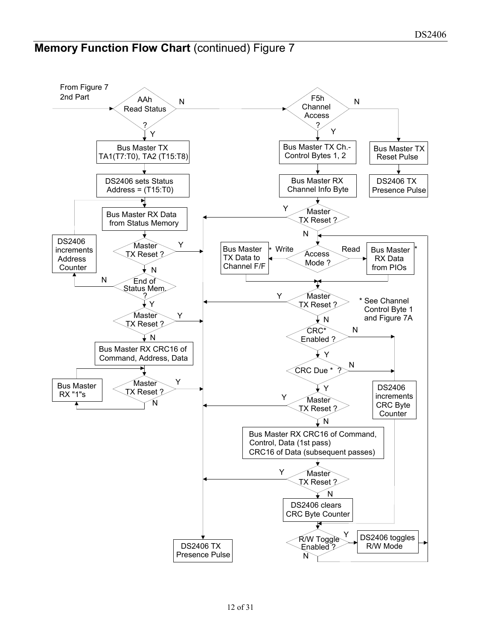# **Memory Function Flow Chart (continued) Figure 7**

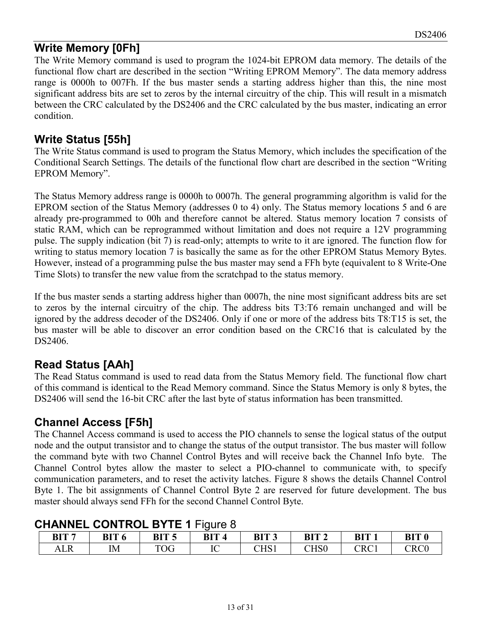# **Write Memory [0Fh]**

The Write Memory command is used to program the 1024-bit EPROM data memory. The details of the functional flow chart are described in the section "Writing EPROM Memory". The data memory address range is 0000h to 007Fh. If the bus master sends a starting address higher than this, the nine most significant address bits are set to zeros by the internal circuitry of the chip. This will result in a mismatch between the CRC calculated by the DS2406 and the CRC calculated by the bus master, indicating an error condition.

# **Write Status [55h]**

The Write Status command is used to program the Status Memory, which includes the specification of the Conditional Search Settings. The details of the functional flow chart are described in the section "Writing EPROM Memory".

The Status Memory address range is 0000h to 0007h. The general programming algorithm is valid for the EPROM section of the Status Memory (addresses 0 to 4) only. The Status memory locations 5 and 6 are already pre-programmed to 00h and therefore cannot be altered. Status memory location 7 consists of static RAM, which can be reprogrammed without limitation and does not require a 12V programming pulse. The supply indication (bit 7) is read-only; attempts to write to it are ignored. The function flow for writing to status memory location 7 is basically the same as for the other EPROM Status Memory Bytes. However, instead of a programming pulse the bus master may send a FFh byte (equivalent to 8 Write-One Time Slots) to transfer the new value from the scratchpad to the status memory.

If the bus master sends a starting address higher than 0007h, the nine most significant address bits are set to zeros by the internal circuitry of the chip. The address bits T3:T6 remain unchanged and will be ignored by the address decoder of the DS2406. Only if one or more of the address bits T8:T15 is set, the bus master will be able to discover an error condition based on the CRC16 that is calculated by the DS2406.

# **Read Status [AAh]**

The Read Status command is used to read data from the Status Memory field. The functional flow chart of this command is identical to the Read Memory command. Since the Status Memory is only 8 bytes, the DS2406 will send the 16-bit CRC after the last byte of status information has been transmitted.

# **Channel Access [F5h]**

The Channel Access command is used to access the PIO channels to sense the logical status of the output node and the output transistor and to change the status of the output transistor. The bus master will follow the command byte with two Channel Control Bytes and will receive back the Channel Info byte. The Channel Control bytes allow the master to select a PIO-channel to communicate with, to specify communication parameters, and to reset the activity latches. Figure 8 shows the details Channel Control Byte 1. The bit assignments of Channel Control Byte 2 are reserved for future development. The bus master should always send FFh for the second Channel Control Byte.

| <b>OTIARTEL OURTROL DT IL TTRAIC 0</b> |    |                  |      |       |                  |                                 |                           |
|----------------------------------------|----|------------------|------|-------|------------------|---------------------------------|---------------------------|
| BIT <sub>7</sub>                       |    | BIT <sub>5</sub> | BIT. | BIT 3 | BIT <sub>2</sub> | BIT                             | <b>BIT 0</b>              |
|                                        | IΜ | TOG              |      | UI DI | CHS0             | $\mathbb C\mathrm{R}\mathrm{C}$ | $\mathbb C \mathsf{RC} 0$ |

# **CHANNEL CONTROL BYTE 1** Figure 8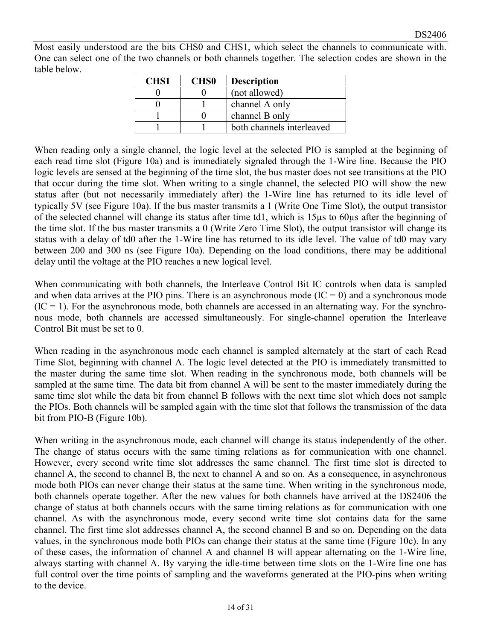Most easily understood are the bits CHS0 and CHS1, which select the channels to communicate with. One can select one of the two channels or both channels together. The selection codes are shown in the table below.

| <b>CHS1</b> | <b>CHS0</b> | <b>Description</b>        |
|-------------|-------------|---------------------------|
|             |             | (not allowed)             |
|             |             | channel A only            |
|             |             | channel B only            |
|             |             | both channels interleaved |

When reading only a single channel, the logic level at the selected PIO is sampled at the beginning of each read time slot (Figure 10a) and is immediately signaled through the 1-Wire line. Because the PIO logic levels are sensed at the beginning of the time slot, the bus master does not see transitions at the PIO that occur during the time slot. When writing to a single channel, the selected PIO will show the new status after (but not necessarily immediately after) the 1-Wire line has returned to its idle level of typically 5V (see Figure 10a). If the bus master transmits a 1 (Write One Time Slot), the output transistor of the selected channel will change its status after time td1, which is 15µs to 60µs after the beginning of the time slot. If the bus master transmits a 0 (Write Zero Time Slot), the output transistor will change its status with a delay of td0 after the 1-Wire line has returned to its idle level. The value of td0 may vary between 200 and 300 ns (see Figure 10a). Depending on the load conditions, there may be additional delay until the voltage at the PIO reaches a new logical level.

When communicating with both channels, the Interleave Control Bit IC controls when data is sampled and when data arrives at the PIO pins. There is an asynchronous mode  $(IC = 0)$  and a synchronous mode  $(IC = 1)$ . For the asynchronous mode, both channels are accessed in an alternating way. For the synchronous mode, both channels are accessed simultaneously. For single-channel operation the Interleave Control Bit must be set to 0.

When reading in the asynchronous mode each channel is sampled alternately at the start of each Read Time Slot, beginning with channel A. The logic level detected at the PIO is immediately transmitted to the master during the same time slot. When reading in the synchronous mode, both channels will be sampled at the same time. The data bit from channel A will be sent to the master immediately during the same time slot while the data bit from channel B follows with the next time slot which does not sample the PIOs. Both channels will be sampled again with the time slot that follows the transmission of the data bit from PIO-B (Figure 10b).

When writing in the asynchronous mode, each channel will change its status independently of the other. The change of status occurs with the same timing relations as for communication with one channel. However, every second write time slot addresses the same channel. The first time slot is directed to channel A, the second to channel B, the next to channel A and so on. As a consequence, in asynchronous mode both PIOs can never change their status at the same time. When writing in the synchronous mode, both channels operate together. After the new values for both channels have arrived at the DS2406 the change of status at both channels occurs with the same timing relations as for communication with one channel. As with the asynchronous mode, every second write time slot contains data for the same channel. The first time slot addresses channel A, the second channel B and so on. Depending on the data values, in the synchronous mode both PIOs can change their status at the same time (Figure 10c). In any of these cases, the information of channel A and channel B will appear alternating on the 1-Wire line, always starting with channel A. By varying the idle-time between time slots on the 1-Wire line one has full control over the time points of sampling and the waveforms generated at the PIO-pins when writing to the device.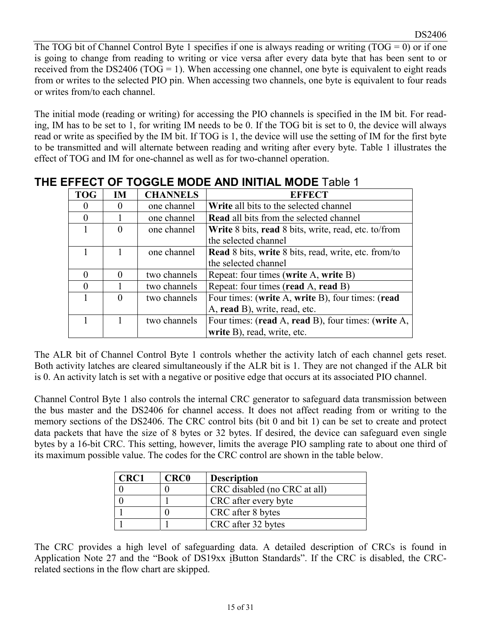The TOG bit of Channel Control Byte 1 specifies if one is always reading or writing  $(TOG = 0)$  or if one is going to change from reading to writing or vice versa after every data byte that has been sent to or received from the DS2406 (TOG = 1). When accessing one channel, one byte is equivalent to eight reads from or writes to the selected PIO pin. When accessing two channels, one byte is equivalent to four reads or writes from/to each channel.

The initial mode (reading or writing) for accessing the PIO channels is specified in the IM bit. For reading, IM has to be set to 1, for writing IM needs to be 0. If the TOG bit is set to 0, the device will always read or write as specified by the IM bit. If TOG is 1, the device will use the setting of IM for the first byte to be transmitted and will alternate between reading and writing after every byte. Table 1 illustrates the effect of TOG and IM for one-channel as well as for two-channel operation.

| <b>TOG</b> | <b>IM</b> | <b>CHANNELS</b> | <b>EFFECT</b>                                                      |
|------------|-----------|-----------------|--------------------------------------------------------------------|
| $\theta$   |           | one channel     | <b>Write</b> all bits to the selected channel                      |
| $\Omega$   |           | one channel     | <b>Read all bits from the selected channel</b>                     |
|            |           | one channel     | <b>Write</b> 8 bits, <b>read</b> 8 bits, write, read, etc. to/from |
|            |           |                 | the selected channel                                               |
|            |           | one channel     | <b>Read</b> 8 bits, write 8 bits, read, write, etc. from/to        |
|            |           |                 | the selected channel                                               |
| $\theta$   |           | two channels    | Repeat: four times (write A, write B)                              |
| $\Omega$   |           | two channels    | Repeat: four times (read A, read B)                                |
|            |           | two channels    | Four times: (write A, write B), four times: (read                  |
|            |           |                 | A, read B), write, read, etc.                                      |
|            |           | two channels    | Four times: (read A, read B), four times: (write A,                |
|            |           |                 | write B), read, write, etc.                                        |

# **THE EFFECT OF TOGGLE MODE AND INITIAL MODE** Table 1

The ALR bit of Channel Control Byte 1 controls whether the activity latch of each channel gets reset. Both activity latches are cleared simultaneously if the ALR bit is 1. They are not changed if the ALR bit is 0. An activity latch is set with a negative or positive edge that occurs at its associated PIO channel.

Channel Control Byte 1 also controls the internal CRC generator to safeguard data transmission between the bus master and the DS2406 for channel access. It does not affect reading from or writing to the memory sections of the DS2406. The CRC control bits (bit 0 and bit 1) can be set to create and protect data packets that have the size of 8 bytes or 32 bytes. If desired, the device can safeguard even single bytes by a 16-bit CRC. This setting, however, limits the average PIO sampling rate to about one third of its maximum possible value. The codes for the CRC control are shown in the table below.

| <b>CRC1</b> | <b>CRC0</b> | <b>Description</b>           |
|-------------|-------------|------------------------------|
|             |             | CRC disabled (no CRC at all) |
|             |             | CRC after every byte         |
|             |             | CRC after 8 bytes            |
|             |             | CRC after 32 bytes           |

The CRC provides a high level of safeguarding data. A detailed description of CRCs is found in Application Note 27 and the "Book of DS19xx iButton Standards". If the CRC is disabled, the CRCrelated sections in the flow chart are skipped.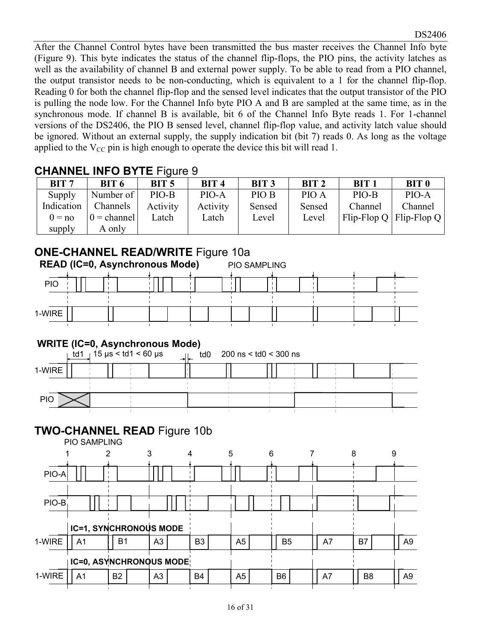After the Channel Control bytes have been transmitted the bus master receives the Channel Info byte (Figure 9). This byte indicates the status of the channel flip-flops, the PIO pins, the activity latches as well as the availability of channel B and external power supply. To be able to read from a PIO channel, the output transistor needs to be non-conducting, which is equivalent to a 1 for the channel flip-flop. Reading 0 for both the channel flip-flop and the sensed level indicates that the output transistor of the PIO is pulling the node low. For the Channel Info byte PIO A and B are sampled at the same time, as in the synchronous mode. If channel B is available, bit 6 of the Channel Info Byte reads 1. For 1-channel versions of the DS2406, the PIO B sensed level, channel flip-flop value, and activity latch value should be ignored. Without an external supply, the supply indication bit (bit 7) reads 0. As long as the voltage applied to the  $V_{CC}$  pin is high enough to operate the device this bit will read 1.

# **CHANNEL INFO BYTE** Figure 9

| BIT <sub>7</sub> | BIT 6         | BIT <sub>5</sub> | BIT 4    | BIT <sub>3</sub> | BIT <sub>2</sub> | BIT <sub>1</sub> | <b>BIT 0</b>                                              |
|------------------|---------------|------------------|----------|------------------|------------------|------------------|-----------------------------------------------------------|
| Supply           | Number of     | PIO-B            | PIO-A    | PIO B            | PIO A            | PIO-B            | PIO-A                                                     |
| Indication       | Channels      | Activity         | Activity | Sensed           | Sensed           | Channel          | Channel                                                   |
| $0 = no$         | $0 = channel$ | Latch            | Latch    | Level            | Level            |                  | $\text{Flip-Flop} \text{Q}   \text{Flip-Flop} \text{Q}  $ |
| supply           | A only        |                  |          |                  |                  |                  |                                                           |

# **ONE-CHANNEL READ/WRITE** Figure 10a

|            | <b>READ (IC=0, Asynchronous Mode)</b> |  |  |  |  |  |  |  |  | <b>PIO SAMPLING</b> |  |  |  |  |  |  |  |  |  |  |  |
|------------|---------------------------------------|--|--|--|--|--|--|--|--|---------------------|--|--|--|--|--|--|--|--|--|--|--|
| <b>PIO</b> |                                       |  |  |  |  |  |  |  |  |                     |  |  |  |  |  |  |  |  |  |  |  |
|            |                                       |  |  |  |  |  |  |  |  |                     |  |  |  |  |  |  |  |  |  |  |  |
| 1-WIRE     |                                       |  |  |  |  |  |  |  |  |                     |  |  |  |  |  |  |  |  |  |  |  |
|            |                                       |  |  |  |  |  |  |  |  |                     |  |  |  |  |  |  |  |  |  |  |  |

# **WRITE (IC=0, Asynchronous Mode)**

|            | td1 $\frac{1}{3}$ 15 µs < td1 < 60 µs | td0 | 200 ns < td0 < 300 ns |  |  |
|------------|---------------------------------------|-----|-----------------------|--|--|
| 1-WIRE     |                                       |     |                       |  |  |
|            |                                       |     |                       |  |  |
| <b>PIO</b> |                                       |     |                       |  |  |
|            |                                       |     |                       |  |  |

# **TWO-CHANNEL READ** Figure 10b

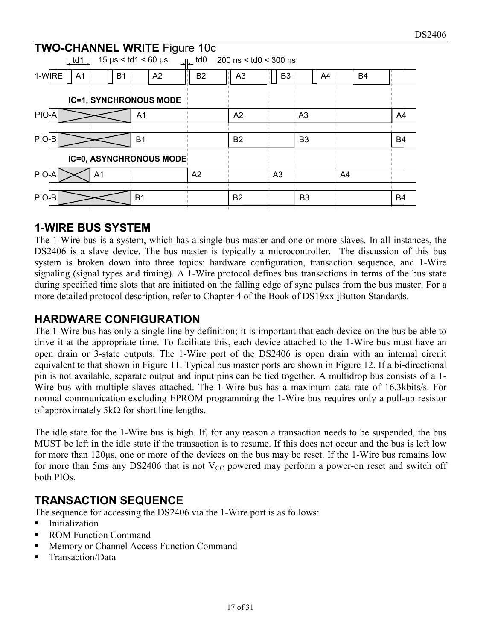|         | td1            |    |    |                | <b>TWO-CHANNEL WRITE Figure 10c</b><br>$15 \text{ }\mu\text{s} < \text{td}1 < 60 \text{ }\mu\text{s}$ | <sub>.⊞.</sub> td0 | 200 ns < td0 < 300 ns |                 |                |    |    |           |           |
|---------|----------------|----|----|----------------|-------------------------------------------------------------------------------------------------------|--------------------|-----------------------|-----------------|----------------|----|----|-----------|-----------|
| 1-WIRE  | A <sub>1</sub> |    | B1 |                | A2                                                                                                    | <b>B2</b>          | A <sub>3</sub>        | B3 <sup>1</sup> |                | A4 |    | <b>B4</b> |           |
|         |                |    |    |                | <b>IC=1, SYNCHRONOUS MODE</b>                                                                         |                    |                       |                 |                |    |    |           |           |
| PIO-A   |                |    |    | A <sub>1</sub> |                                                                                                       |                    | A2                    |                 | A <sub>3</sub> |    |    |           | A4        |
| $PIO-B$ |                |    |    | <b>B1</b>      |                                                                                                       |                    | B <sub>2</sub>        |                 | B <sub>3</sub> |    |    |           | <b>B4</b> |
|         |                |    |    |                | <b>IC=0, ASYNCHRONOUS MODE</b>                                                                        |                    |                       |                 |                |    |    |           |           |
| PIO-A   |                | A1 |    |                |                                                                                                       | A2                 |                       | A <sub>3</sub>  |                |    | A4 |           |           |
| PIO-B   |                |    |    | <b>B1</b>      |                                                                                                       |                    | <b>B2</b>             |                 | B <sub>3</sub> |    |    |           | B4        |

## **1-WIRE BUS SYSTEM**

The 1-Wire bus is a system, which has a single bus master and one or more slaves. In all instances, the DS2406 is a slave device. The bus master is typically a microcontroller. The discussion of this bus system is broken down into three topics: hardware configuration, transaction sequence, and 1-Wire signaling (signal types and timing). A 1-Wire protocol defines bus transactions in terms of the bus state during specified time slots that are initiated on the falling edge of sync pulses from the bus master. For a more detailed protocol description, refer to Chapter 4 of the Book of DS19xx iButton Standards.

## **HARDWARE CONFIGURATION**

The 1-Wire bus has only a single line by definition; it is important that each device on the bus be able to drive it at the appropriate time. To facilitate this, each device attached to the 1-Wire bus must have an open drain or 3-state outputs. The 1-Wire port of the DS2406 is open drain with an internal circuit equivalent to that shown in Figure 11. Typical bus master ports are shown in Figure 12. If a bi-directional pin is not available, separate output and input pins can be tied together. A multidrop bus consists of a 1- Wire bus with multiple slaves attached. The 1-Wire bus has a maximum data rate of 16.3kbits/s. For normal communication excluding EPROM programming the 1-Wire bus requires only a pull-up resistor of approximately  $5k\Omega$  for short line lengths.

The idle state for the 1-Wire bus is high. If, for any reason a transaction needs to be suspended, the bus MUST be left in the idle state if the transaction is to resume. If this does not occur and the bus is left low for more than 120µs, one or more of the devices on the bus may be reset. If the 1-Wire bus remains low for more than 5ms any DS2406 that is not  $V_{CC}$  powered may perform a power-on reset and switch off both PIOs.

# **TRANSACTION SEQUENCE**

The sequence for accessing the DS2406 via the 1-Wire port is as follows:

- **Initialization**
- ROM Function Command
- **Memory or Channel Access Function Command**
- Transaction/Data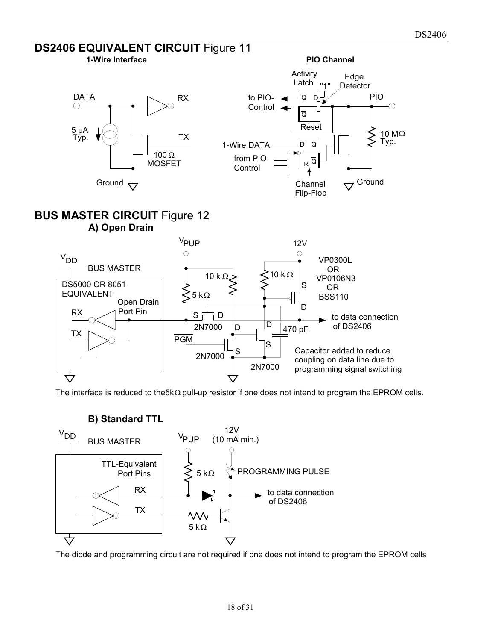

The interface is reduced to the 5k $\Omega$  pull-up resistor if one does not intend to program the EPROM cells.



The diode and programming circuit are not required if one does not intend to program the EPROM cells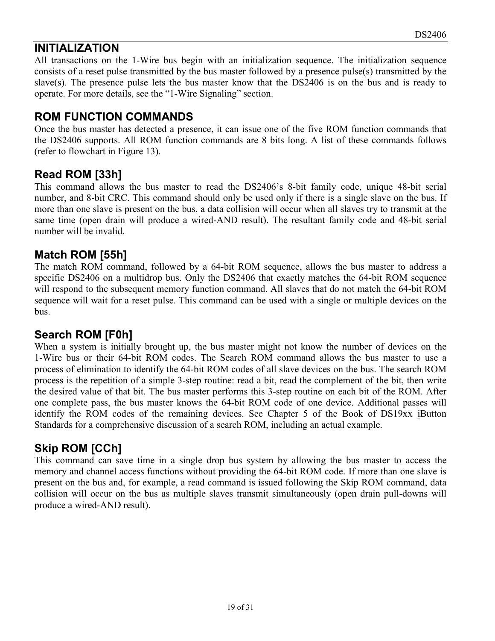# **INITIALIZATION**

All transactions on the 1-Wire bus begin with an initialization sequence. The initialization sequence consists of a reset pulse transmitted by the bus master followed by a presence pulse(s) transmitted by the slave(s). The presence pulse lets the bus master know that the DS2406 is on the bus and is ready to operate. For more details, see the "1-Wire Signaling" section.

# **ROM FUNCTION COMMANDS**

Once the bus master has detected a presence, it can issue one of the five ROM function commands that the DS2406 supports. All ROM function commands are 8 bits long. A list of these commands follows (refer to flowchart in Figure 13).

# **Read ROM [33h]**

This command allows the bus master to read the DS2406's 8-bit family code, unique 48-bit serial number, and 8-bit CRC. This command should only be used only if there is a single slave on the bus. If more than one slave is present on the bus, a data collision will occur when all slaves try to transmit at the same time (open drain will produce a wired-AND result). The resultant family code and 48-bit serial number will be invalid.

# **Match ROM [55h]**

The match ROM command, followed by a 64-bit ROM sequence, allows the bus master to address a specific DS2406 on a multidrop bus. Only the DS2406 that exactly matches the 64-bit ROM sequence will respond to the subsequent memory function command. All slaves that do not match the 64-bit ROM sequence will wait for a reset pulse. This command can be used with a single or multiple devices on the bus.

# **Search ROM [F0h]**

When a system is initially brought up, the bus master might not know the number of devices on the 1-Wire bus or their 64-bit ROM codes. The Search ROM command allows the bus master to use a process of elimination to identify the 64-bit ROM codes of all slave devices on the bus. The search ROM process is the repetition of a simple 3-step routine: read a bit, read the complement of the bit, then write the desired value of that bit. The bus master performs this 3-step routine on each bit of the ROM. After one complete pass, the bus master knows the 64-bit ROM code of one device. Additional passes will identify the ROM codes of the remaining devices. See Chapter 5 of the Book of DS19xx iButton Standards for a comprehensive discussion of a search ROM, including an actual example.

# **Skip ROM [CCh]**

This command can save time in a single drop bus system by allowing the bus master to access the memory and channel access functions without providing the 64-bit ROM code. If more than one slave is present on the bus and, for example, a read command is issued following the Skip ROM command, data collision will occur on the bus as multiple slaves transmit simultaneously (open drain pull-downs will produce a wired-AND result).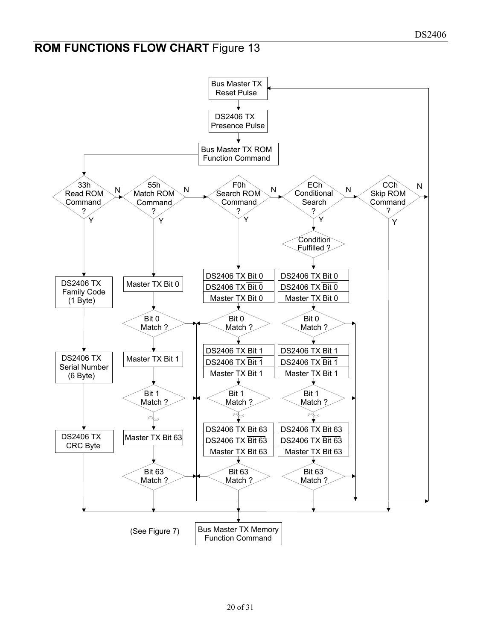# **ROM FUNCTIONS FLOW CHART Figure 13**

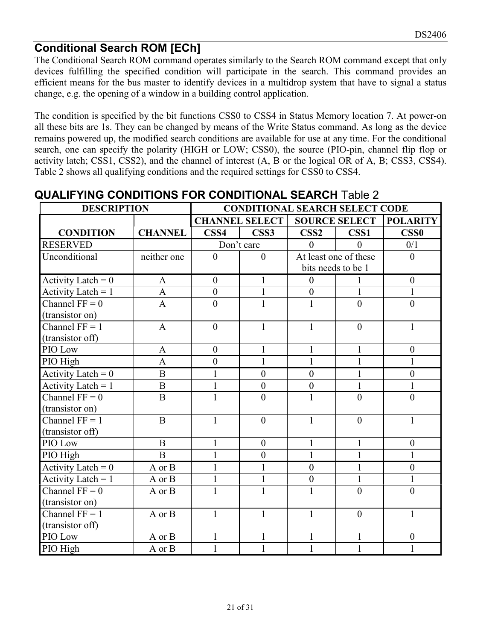# **Conditional Search ROM [ECh]**

The Conditional Search ROM command operates similarly to the Search ROM command except that only devices fulfilling the specified condition will participate in the search. This command provides an efficient means for the bus master to identify devices in a multidrop system that have to signal a status change, e.g. the opening of a window in a building control application.

The condition is specified by the bit functions CSS0 to CSS4 in Status Memory location 7. At power-on all these bits are 1s. They can be changed by means of the Write Status command. As long as the device remains powered up, the modified search conditions are available for use at any time. For the conditional search, one can specify the polarity (HIGH or LOW; CSS0), the source (PIO-pin, channel flip flop or activity latch; CSS1, CSS2), and the channel of interest (A, B or the logical OR of A, B; CSS3, CSS4). Table 2 shows all qualifying conditions and the required settings for CSS0 to CSS4.

| <b>DESCRIPTION</b>              |                | <b>CONDITIONAL SEARCH SELECT CODE</b> |                       |                                  |                       |                                  |  |  |  |  |  |  |
|---------------------------------|----------------|---------------------------------------|-----------------------|----------------------------------|-----------------------|----------------------------------|--|--|--|--|--|--|
|                                 |                |                                       | <b>CHANNEL SELECT</b> |                                  | <b>SOURCE SELECT</b>  | <b>POLARITY</b>                  |  |  |  |  |  |  |
| <b>CONDITION</b>                | <b>CHANNEL</b> | CSS <sub>4</sub>                      | CSS3                  | $\textcolor{red}{\mathbf{CSS2}}$ | CSS <sub>1</sub>      | $\textcolor{red}{\mathbf{CSS0}}$ |  |  |  |  |  |  |
| <b>RESERVED</b>                 |                |                                       | Don't care            | $\theta$                         | $\Omega$              | 0/1                              |  |  |  |  |  |  |
| Unconditional                   | neither one    | $\Omega$                              | $\theta$              |                                  | At least one of these | $\theta$                         |  |  |  |  |  |  |
|                                 |                |                                       |                       | bits needs to be 1               |                       |                                  |  |  |  |  |  |  |
| Activity Latch = $0$            | $\mathbf{A}$   | $\theta$                              | $\mathbf{1}$          | $\mathbf{0}$                     | 1                     | $\overline{0}$                   |  |  |  |  |  |  |
| Activity Latch = $1$            | $\mathbf{A}$   | $\theta$                              | $\mathbf{1}$          | $\boldsymbol{0}$                 | 1                     |                                  |  |  |  |  |  |  |
| Channel $FF = 0$                | $\mathbf{A}$   | $\theta$                              | $\mathbf{1}$          | $\mathbf{1}$                     | $\overline{0}$        | $\theta$                         |  |  |  |  |  |  |
| (transistor on)                 |                |                                       |                       |                                  |                       |                                  |  |  |  |  |  |  |
| Channel $FF = 1$                | $\mathbf{A}$   | $\theta$                              | $\mathbf{1}$          | $\mathbf{1}$                     | $\theta$              | $\mathbf{1}$                     |  |  |  |  |  |  |
| (transistor off)                |                |                                       |                       |                                  |                       |                                  |  |  |  |  |  |  |
| PIO Low                         | $\mathbf{A}$   | $\theta$                              | 1                     | 1                                | 1                     | $\mathbf{0}$                     |  |  |  |  |  |  |
| PIO High                        | $\mathbf{A}$   | $\boldsymbol{0}$                      | $\mathbf{1}$          | $\mathbf{1}$                     | $\mathbf{1}$          | $\mathbf{1}$                     |  |  |  |  |  |  |
| Activity Latch = $0$            | $\overline{B}$ | $\mathbf{1}$                          | $\overline{0}$        | $\overline{0}$                   | $\mathbf{1}$          | $\overline{0}$                   |  |  |  |  |  |  |
| Activity Latch = $1$            | $\overline{B}$ | $\mathbf{1}$                          | $\boldsymbol{0}$      | $\boldsymbol{0}$                 | $\mathbf{1}$          | $\mathbf{1}$                     |  |  |  |  |  |  |
| Channel $FF = 0$                | $\bf{B}$       | $\mathbf{1}$                          | $\overline{0}$        | $\mathbf{1}$                     | $\theta$              | $\theta$                         |  |  |  |  |  |  |
| (transistor on)                 |                |                                       |                       |                                  |                       |                                  |  |  |  |  |  |  |
| Channel $FF = 1$                | B              | 1                                     | $\theta$              | 1                                | $\theta$              | 1                                |  |  |  |  |  |  |
| (transistor off)                |                |                                       |                       |                                  |                       |                                  |  |  |  |  |  |  |
| PIO Low                         | $\mathbf B$    |                                       | $\theta$              | $\mathbf{1}$                     | 1                     | $\mathbf{0}$                     |  |  |  |  |  |  |
| PIO High                        | $\overline{B}$ | 1                                     | $\overline{0}$        | $\mathbf{1}$                     | $\mathbf{1}$          | $\mathbf{1}$                     |  |  |  |  |  |  |
| Activity Latch = $0$            | A or B         |                                       | 1                     | $\boldsymbol{0}$                 | $\mathbf{1}$          | $\boldsymbol{0}$                 |  |  |  |  |  |  |
| Activity Latch = $\overline{1}$ | A or B         | $\mathbf{1}$                          | $\mathbf{1}$          | $\overline{0}$                   | $\mathbf{1}$          | 1                                |  |  |  |  |  |  |
| Channel $FF = 0$                | A or B         |                                       | $\mathbf{1}$          | $\mathbf{1}$                     | $\overline{0}$        | $\overline{0}$                   |  |  |  |  |  |  |
| (transistor on)                 |                |                                       |                       |                                  |                       |                                  |  |  |  |  |  |  |
| Channel $\overline{FF} = 1$     | A or B         | $\mathbf{1}$                          | $\mathbf{1}$          | $\mathbf{1}$                     | $\theta$              | $\mathbf{1}$                     |  |  |  |  |  |  |
| (transistor off)                |                |                                       |                       |                                  |                       |                                  |  |  |  |  |  |  |
| PIO Low                         | A or B         |                                       | $\mathbf{1}$          | $\mathbf{1}$                     | $\mathbf{1}$          | $\boldsymbol{0}$                 |  |  |  |  |  |  |
| PIO High                        | A or B         |                                       | 1                     | 1                                | $\mathbf{1}$          |                                  |  |  |  |  |  |  |

# **QUALIFYING CONDITIONS FOR CONDITIONAL SEARCH** Table 2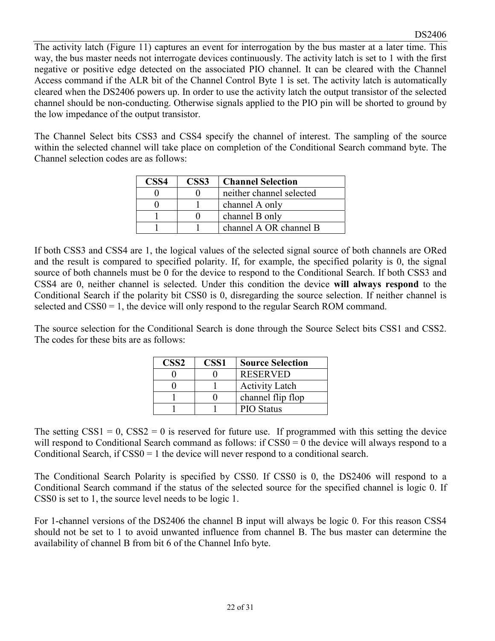The activity latch (Figure 11) captures an event for interrogation by the bus master at a later time. This way, the bus master needs not interrogate devices continuously. The activity latch is set to 1 with the first negative or positive edge detected on the associated PIO channel. It can be cleared with the Channel Access command if the ALR bit of the Channel Control Byte 1 is set. The activity latch is automatically cleared when the DS2406 powers up. In order to use the activity latch the output transistor of the selected channel should be non-conducting. Otherwise signals applied to the PIO pin will be shorted to ground by the low impedance of the output transistor.

The Channel Select bits CSS3 and CSS4 specify the channel of interest. The sampling of the source within the selected channel will take place on completion of the Conditional Search command byte. The Channel selection codes are as follows:

| CSS4 | CSS <sub>3</sub> | <b>Channel Selection</b> |
|------|------------------|--------------------------|
|      |                  | neither channel selected |
|      |                  | channel A only           |
|      |                  | channel B only           |
|      |                  | channel A OR channel B   |

If both CSS3 and CSS4 are 1, the logical values of the selected signal source of both channels are ORed and the result is compared to specified polarity. If, for example, the specified polarity is 0, the signal source of both channels must be 0 for the device to respond to the Conditional Search. If both CSS3 and CSS4 are 0, neither channel is selected. Under this condition the device **will always respond** to the Conditional Search if the polarity bit CSS0 is 0, disregarding the source selection. If neither channel is selected and  $CSS0 = 1$ , the device will only respond to the regular Search ROM command.

The source selection for the Conditional Search is done through the Source Select bits CSS1 and CSS2. The codes for these bits are as follows:

| $\textcolor{red}{\mathbf{CSS2}}$ | CSS <sub>1</sub> | <b>Source Selection</b> |
|----------------------------------|------------------|-------------------------|
|                                  |                  | <b>RESERVED</b>         |
|                                  |                  | <b>Activity Latch</b>   |
|                                  |                  | channel flip flop       |
|                                  |                  | <b>PIO</b> Status       |

The setting  $CSS1 = 0$ ,  $CSS2 = 0$  is reserved for future use. If programmed with this setting the device will respond to Conditional Search command as follows: if CSS0 = 0 the device will always respond to a Conditional Search, if CSS0 = 1 the device will never respond to a conditional search.

The Conditional Search Polarity is specified by CSS0. If CSS0 is 0, the DS2406 will respond to a Conditional Search command if the status of the selected source for the specified channel is logic 0. If CSS0 is set to 1, the source level needs to be logic 1.

For 1-channel versions of the DS2406 the channel B input will always be logic 0. For this reason CSS4 should not be set to 1 to avoid unwanted influence from channel B. The bus master can determine the availability of channel B from bit 6 of the Channel Info byte.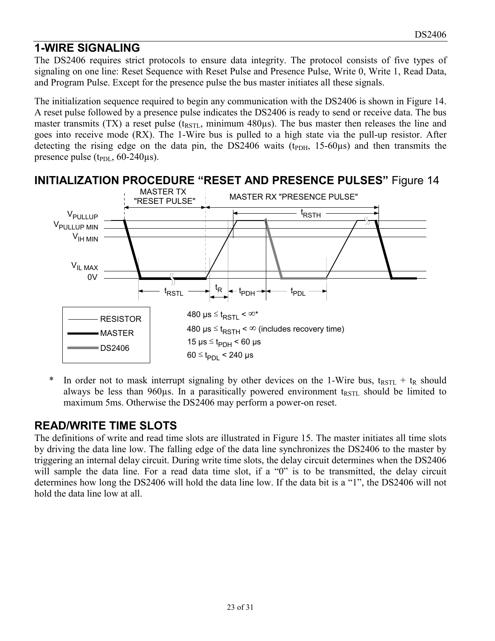# **1-WIRE SIGNALING**

The DS2406 requires strict protocols to ensure data integrity. The protocol consists of five types of signaling on one line: Reset Sequence with Reset Pulse and Presence Pulse, Write 0, Write 1, Read Data, and Program Pulse. Except for the presence pulse the bus master initiates all these signals.

The initialization sequence required to begin any communication with the DS2406 is shown in Figure 14. A reset pulse followed by a presence pulse indicates the DS2406 is ready to send or receive data. The bus master transmits (TX) a reset pulse ( $t_{\text{RSTL}}$ , minimum 480 $\mu$ s). The bus master then releases the line and goes into receive mode (RX). The 1-Wire bus is pulled to a high state via the pull-up resistor. After detecting the rising edge on the data pin, the DS2406 waits ( $t_{PDH}$ , 15-60 $\mu$ s) and then transmits the presence pulse  $(t_{PDL}, 60-240 \mu s)$ .



\* In order not to mask interrupt signaling by other devices on the 1-Wire bus,  $t_{RSTL} + t_R$  should always be less than  $960\mu s$ . In a parasitically powered environment t<sub>RSTL</sub> should be limited to maximum 5ms. Otherwise the DS2406 may perform a power-on reset.

# **READ/WRITE TIME SLOTS**

The definitions of write and read time slots are illustrated in Figure 15. The master initiates all time slots by driving the data line low. The falling edge of the data line synchronizes the DS2406 to the master by triggering an internal delay circuit. During write time slots, the delay circuit determines when the DS2406 will sample the data line. For a read data time slot, if a "0" is to be transmitted, the delay circuit determines how long the DS2406 will hold the data line low. If the data bit is a "1", the DS2406 will not hold the data line low at all.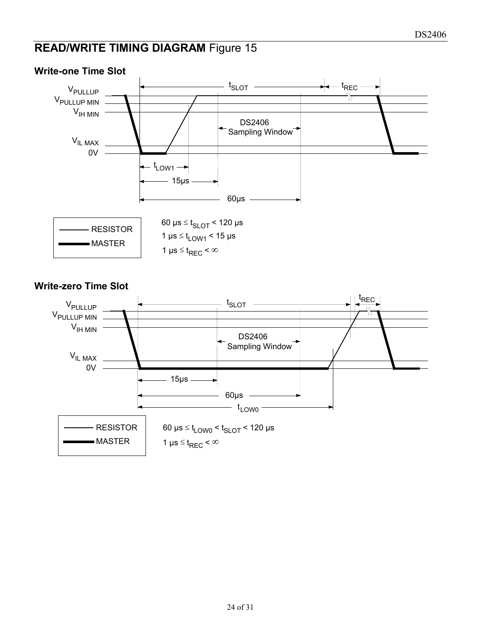# **READ/WRITE TIMING DIAGRAM Figure 15**



#### **Write-one Time Slot**

#### **Write-zero Time Slot**

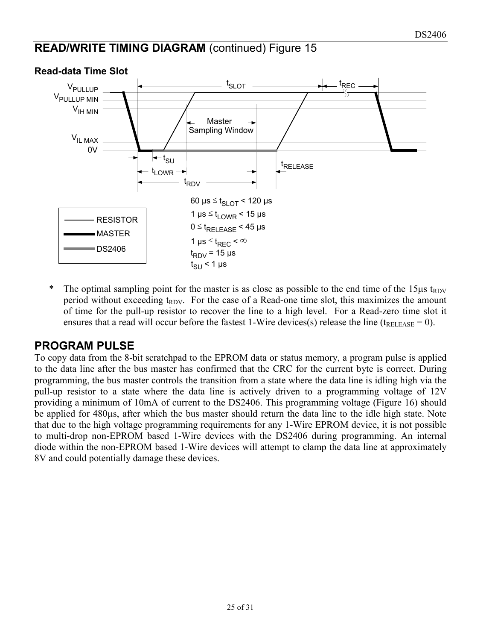# **READ/WRITE TIMING DIAGRAM** (continued) Figure 15



#### **Read-data Time Slot**

\* The optimal sampling point for the master is as close as possible to the end time of the  $15\mu s$  t<sub>RDV</sub> period without exceeding  $t_{RDV}$ . For the case of a Read-one time slot, this maximizes the amount of time for the pull-up resistor to recover the line to a high level. For a Read-zero time slot it ensures that a read will occur before the fastest 1-Wire devices(s) release the line ( $t_{RELEASE} = 0$ ).

## **PROGRAM PULSE**

To copy data from the 8-bit scratchpad to the EPROM data or status memory, a program pulse is applied to the data line after the bus master has confirmed that the CRC for the current byte is correct. During programming, the bus master controls the transition from a state where the data line is idling high via the pull-up resistor to a state where the data line is actively driven to a programming voltage of 12V providing a minimum of 10mA of current to the DS2406. This programming voltage (Figure 16) should be applied for 480µs, after which the bus master should return the data line to the idle high state. Note that due to the high voltage programming requirements for any 1-Wire EPROM device, it is not possible to multi-drop non-EPROM based 1-Wire devices with the DS2406 during programming. An internal diode within the non-EPROM based 1-Wire devices will attempt to clamp the data line at approximately 8V and could potentially damage these devices.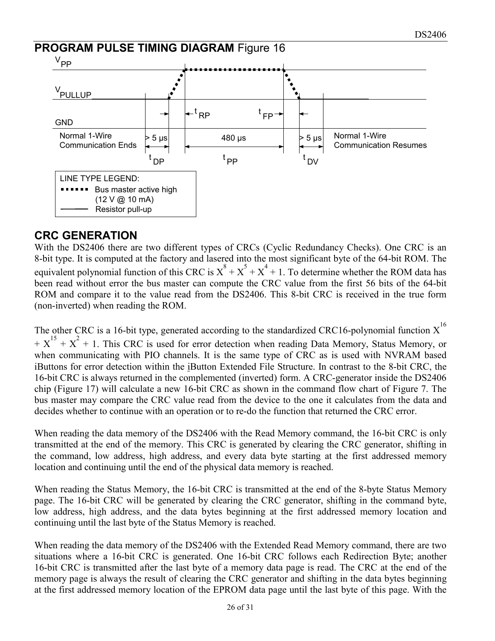

# **CRC GENERATION**

With the DS2406 there are two different types of CRCs (Cyclic Redundancy Checks). One CRC is an 8-bit type. It is computed at the factory and lasered into the most significant byte of the 64-bit ROM. The equivalent polynomial function of this CRC is  $X^8 + X^5 + X^4 + 1$ . To determine whether the ROM data has been read without error the bus master can compute the CRC value from the first 56 bits of the 64-bit ROM and compare it to the value read from the DS2406. This 8-bit CRC is received in the true form (non-inverted) when reading the ROM.

The other CRC is a 16-bit type, generated according to the standardized CRC16-polynomial function  $X^{16}$  $+ X^{15} + X^2 + 1$ . This CRC is used for error detection when reading Data Memory, Status Memory, or when communicating with PIO channels. It is the same type of CRC as is used with NVRAM based iButtons for error detection within the iButton Extended File Structure. In contrast to the 8-bit CRC, the 16-bit CRC is always returned in the complemented (inverted) form. A CRC-generator inside the DS2406 chip (Figure 17) will calculate a new 16-bit CRC as shown in the command flow chart of Figure 7. The bus master may compare the CRC value read from the device to the one it calculates from the data and decides whether to continue with an operation or to re-do the function that returned the CRC error.

When reading the data memory of the DS2406 with the Read Memory command, the 16-bit CRC is only transmitted at the end of the memory. This CRC is generated by clearing the CRC generator, shifting in the command, low address, high address, and every data byte starting at the first addressed memory location and continuing until the end of the physical data memory is reached.

When reading the Status Memory, the 16-bit CRC is transmitted at the end of the 8-byte Status Memory page. The 16-bit CRC will be generated by clearing the CRC generator, shifting in the command byte, low address, high address, and the data bytes beginning at the first addressed memory location and continuing until the last byte of the Status Memory is reached.

When reading the data memory of the DS2406 with the Extended Read Memory command, there are two situations where a 16-bit CRC is generated. One 16-bit CRC follows each Redirection Byte; another 16-bit CRC is transmitted after the last byte of a memory data page is read. The CRC at the end of the memory page is always the result of clearing the CRC generator and shifting in the data bytes beginning at the first addressed memory location of the EPROM data page until the last byte of this page. With the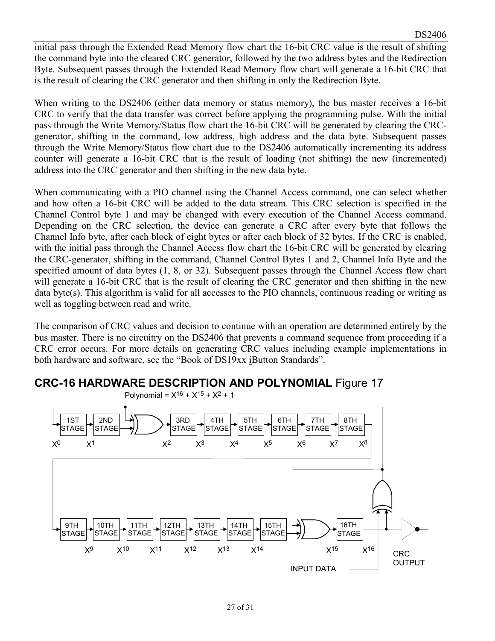initial pass through the Extended Read Memory flow chart the 16-bit CRC value is the result of shifting the command byte into the cleared CRC generator, followed by the two address bytes and the Redirection Byte. Subsequent passes through the Extended Read Memory flow chart will generate a 16-bit CRC that is the result of clearing the CRC generator and then shifting in only the Redirection Byte.

When writing to the DS2406 (either data memory or status memory), the bus master receives a 16-bit CRC to verify that the data transfer was correct before applying the programming pulse. With the initial pass through the Write Memory/Status flow chart the 16-bit CRC will be generated by clearing the CRCgenerator, shifting in the command, low address, high address and the data byte. Subsequent passes through the Write Memory/Status flow chart due to the DS2406 automatically incrementing its address counter will generate a 16-bit CRC that is the result of loading (not shifting) the new (incremented) address into the CRC generator and then shifting in the new data byte.

When communicating with a PIO channel using the Channel Access command, one can select whether and how often a 16-bit CRC will be added to the data stream. This CRC selection is specified in the Channel Control byte 1 and may be changed with every execution of the Channel Access command. Depending on the CRC selection, the device can generate a CRC after every byte that follows the Channel Info byte, after each block of eight bytes or after each block of 32 bytes. If the CRC is enabled, with the initial pass through the Channel Access flow chart the 16-bit CRC will be generated by clearing the CRC-generator, shifting in the command, Channel Control Bytes 1 and 2, Channel Info Byte and the specified amount of data bytes (1, 8, or 32). Subsequent passes through the Channel Access flow chart will generate a 16-bit CRC that is the result of clearing the CRC generator and then shifting in the new data byte(s). This algorithm is valid for all accesses to the PIO channels, continuous reading or writing as well as toggling between read and write.

The comparison of CRC values and decision to continue with an operation are determined entirely by the bus master. There is no circuitry on the DS2406 that prevents a command sequence from proceeding if a CRC error occurs. For more details on generating CRC values including example implementations in both hardware and software, see the "Book of DS19xx iButton Standards".



# **CRC-16 HARDWARE DESCRIPTION AND POLYNOMIAL** Figure 17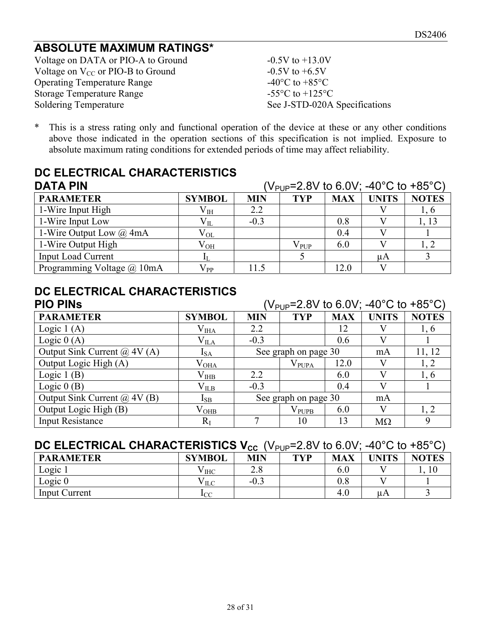# **ABSOLUTE MAXIMUM RATINGS\***

Voltage on DATA or PIO-A to Ground  $-0.5V$  to  $+13.0V$ Voltage on  $V_{CC}$  or PIO-B to Ground  $-0.5V$  to  $+6.5V$ Operating Temperature Range  $-40^{\circ}$ C to  $+85^{\circ}$ C Storage Temperature Range<br>
Soldering Temperature<br>
See J-STD-020A

See J-STD-020A Specifications

\* This is a stress rating only and functional operation of the device at these or any other conditions above those indicated in the operation sections of this specification is not implied. Exposure to absolute maximum rating conditions for extended periods of time may affect reliability.

# **DC ELECTRICAL CHARACTERISTICS**

| <b>DATA PIN</b>                | ( $V_{\text{PID}}$ =2.8V to 6.0V; -40°C to +85°C) |            |               |            |              |              |
|--------------------------------|---------------------------------------------------|------------|---------------|------------|--------------|--------------|
| <b>PARAMETER</b>               | <b>SYMBOL</b>                                     | <b>MIN</b> | <b>TYP</b>    | <b>MAX</b> | <b>UNITS</b> | <b>NOTES</b> |
| 1-Wire Input High              | $\rm V_{IH}$                                      | 2.2        |               |            |              | 1, 6         |
| 1-Wire Input Low               | $\rm V_{II}$                                      | $-0.3$     |               | 0.8        |              | 1, 13        |
| 1-Wire Output Low $\omega$ 4mA | $V_{OL}$                                          |            |               | 0.4        |              |              |
| 1-Wire Output High             | $\rm V_{OH}$                                      |            | $\rm V_{PUP}$ | 6.0        |              |              |
| <b>Input Load Current</b>      |                                                   |            |               |            | uA           |              |
| Programming Voltage @ 10mA     | $V_{PP}$                                          | 11.5       |               | 12.0       |              |              |

# **DC ELECTRICAL CHARACTERISTICS**

| <b>PIO PINS</b>                     | (V <sub>PUP</sub> =2.8V to 6.0V; -40°C to +85°C) |                      |                      |            |              |              |
|-------------------------------------|--------------------------------------------------|----------------------|----------------------|------------|--------------|--------------|
| <b>PARAMETER</b>                    | <b>SYMBOL</b>                                    | <b>MIN</b>           | <b>TYP</b>           | <b>MAX</b> | <b>UNITS</b> | <b>NOTES</b> |
| Logic $1(A)$                        | $\rm V_{IIAA}$                                   | 2.2                  |                      | 12         |              | 1,6          |
| Logic $0(A)$                        | $\rm V_{IIA}$                                    | $-0.3$               |                      | 0.6        | V            |              |
| Output Sink Current $\omega$ 4V (A) | $I_{SA}$                                         |                      | See graph on page 30 |            | mA           | 11, 12       |
| Output Logic High (A)               | $\rm V_{OHA}$                                    |                      | $\rm V_{PUPA}$       | 12.0       | V)           | 1, 2         |
| Logic $1(B)$                        | $\rm V_{IHB}$                                    | 2.2                  |                      | 6.0        | V)           | 1,6          |
| Logic $0(B)$                        | $\rm V_{\rm ILB}$                                | $-0.3$               |                      | 0.4        | V            |              |
| Output Sink Current $\omega$ 4V (B) | $I_{SB}$                                         | See graph on page 30 |                      | mA         |              |              |
| Output Logic High (B)               | $\rm V_{OHB}$                                    |                      | $\rm V_{PUPB}$       | 6.0        | V            | 1, 2         |
| <b>Input Resistance</b>             | $R_I$                                            |                      | 10                   | 13         | $M\Omega$    | 9            |

# **DC ELECTRICAL CHARACTERISTICS V<sub>CC</sub> (V<sub>PUP</sub>=2.8V to 6.0V: -40°C to +85°C)**

| <b>PARAMETER</b>     | <b>SYMBOL</b> | . ו ט<br>MIN | <b>TYP</b> | <b>MAX</b> | UNITS | <b>NOTES</b> |
|----------------------|---------------|--------------|------------|------------|-------|--------------|
| Logic                | V IHC         | າ ດ<br>4.0   |            |            |       |              |
| Logic $0$            | V ILC         | $-0.3$       |            | $0.8\,$    |       |              |
| <b>Input Current</b> | <b>I</b> CC   |              |            | 4.0        | uΑ    |              |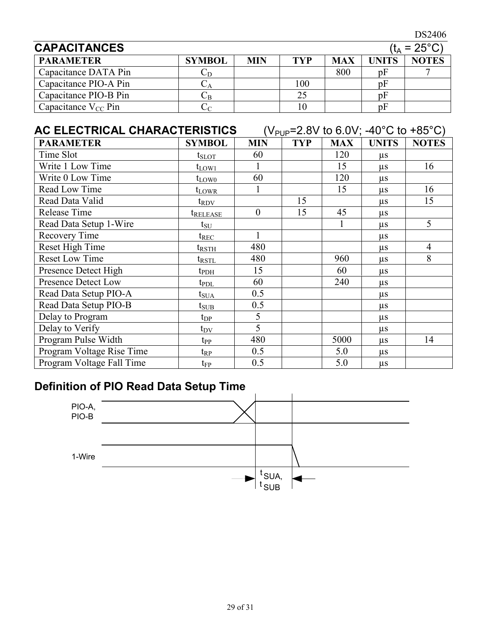DS2406

| <b>CAPACITANCES</b><br>$(t_A = 25^{\circ}C)$ |               |     |            |            |       |              |
|----------------------------------------------|---------------|-----|------------|------------|-------|--------------|
| <b>PARAMETER</b>                             | <b>SYMBOL</b> | MIN | <b>TYP</b> | <b>MAX</b> | UNITS | <b>NOTES</b> |
| Capacitance DATA Pin                         |               |     |            | 800        | pł    |              |
| Capacitance PIO-A Pin                        |               |     | 100        |            | pF    |              |
| Capacitance PIO-B Pin                        | ∪B            |     | 25         |            | pł    |              |
| Capacitance $V_{CC}$ Pin                     |               |     |            |            | nŀ    |              |

# AC ELECTRICAL CHARACTERISTICS (V<sub>PUP</sub>=2.8V to 6.0V; -40°C to +85°C)

| <b>PARAMETER</b>           | <b>SYMBOL</b>        | <b>MIN</b>     | <b>TYP</b> | <b>MAX</b> | <b>UNITS</b> | <b>NOTES</b> |
|----------------------------|----------------------|----------------|------------|------------|--------------|--------------|
| Time Slot                  | $t_{\text{SLOT}}$    | 60             |            | 120        | $\mu$ s      |              |
| Write 1 Low Time           | $t_{LOW1}$           |                |            | 15         | $\mu s$      | 16           |
| Write 0 Low Time           | $t_{LOW0}$           | 60             |            | 120        | $\mu$ s      |              |
| Read Low Time              | $t_{LOWR}$           |                |            | 15         | $\mu$ s      | 16           |
| Read Data Valid            | $t_{\rm{RDV}}$       |                | 15         |            | $\mu$ s      | 15           |
| Release Time               | t <sub>release</sub> | $\overline{0}$ | 15         | 45         | $\mu$ s      |              |
| Read Data Setup 1-Wire     | $t_{\rm SU}$         |                |            |            | $\mu$ s      | 5            |
| Recovery Time              | ${\rm t_{REC}}$      |                |            |            | $\mu$ s      |              |
| Reset High Time            | $t_{\rm RSTH}$       | 480            |            |            | $\mu$ s      | 4            |
| <b>Reset Low Time</b>      | ${\rm t}_{\rm RSTL}$ | 480            |            | 960        | $\mu$ s      | 8            |
| Presence Detect High       | $t_{\rm{PDH}}$       | 15             |            | 60         | $\mu$ s      |              |
| <b>Presence Detect Low</b> | $t_{\mathrm{PDL}}$   | 60             |            | 240        | $\mu$ s      |              |
| Read Data Setup PIO-A      | $t_{\rm SUA}$        | 0.5            |            |            | $\mu$ s      |              |
| Read Data Setup PIO-B      | $t_{\rm SUB}$        | 0.5            |            |            | $\mu$ s      |              |
| Delay to Program           | $t_{DP}$             | 5              |            |            | $\mu$ s      |              |
| Delay to Verify            | $t_{\rm DV}$         | 5              |            |            | $\mu$ s      |              |
| Program Pulse Width        | tpP                  | 480            |            | 5000       | $\mu$ s      | 14           |
| Program Voltage Rise Time  | $t_{RP}$             | 0.5            |            | 5.0        | $\mu$ s      |              |
| Program Voltage Fall Time  | $t_{FP}$             | 0.5            |            | 5.0        | $\mu s$      |              |

# **Definition of PIO Read Data Setup Time**

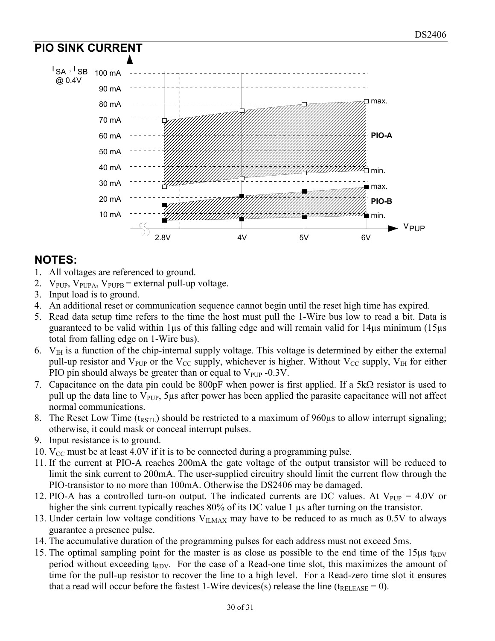

# **NOTES:**

- 1. All voltages are referenced to ground.
- 2.  $V_{\text{PUP}}$ ,  $V_{\text{PUPA}}$ ,  $V_{\text{PUPB}}$  = external pull-up voltage.
- 3. Input load is to ground.
- 4. An additional reset or communication sequence cannot begin until the reset high time has expired.
- 5. Read data setup time refers to the time the host must pull the 1-Wire bus low to read a bit. Data is guaranteed to be valid within 1µs of this falling edge and will remain valid for 14µs minimum (15µs total from falling edge on 1-Wire bus).
- 6.  $V_{\text{IH}}$  is a function of the chip-internal supply voltage. This voltage is determined by either the external pull-up resistor and  $V_{PUP}$  or the V<sub>CC</sub> supply, whichever is higher. Without V<sub>CC</sub> supply, V<sub>IH</sub> for either PIO pin should always be greater than or equal to  $V_{\text{PUP}}$  -0.3V.
- 7. Capacitance on the data pin could be 800pF when power is first applied. If a  $5k\Omega$  resistor is used to pull up the data line to  $V_{\text{PUP}}$ , 5µs after power has been applied the parasite capacitance will not affect normal communications.
- 8. The Reset Low Time ( $t_{RSTL}$ ) should be restricted to a maximum of 960 $\mu$ s to allow interrupt signaling; otherwise, it could mask or conceal interrupt pulses.
- 9. Input resistance is to ground.
- 10.  $V_{CC}$  must be at least 4.0V if it is to be connected during a programming pulse.
- 11. If the current at PIO-A reaches 200mA the gate voltage of the output transistor will be reduced to limit the sink current to 200mA. The user-supplied circuitry should limit the current flow through the PIO-transistor to no more than 100mA. Otherwise the DS2406 may be damaged.
- 12. PIO-A has a controlled turn-on output. The indicated currents are DC values. At  $V_{PUP} = 4.0V$  or higher the sink current typically reaches 80% of its DC value 1  $\mu$ s after turning on the transistor.
- 13. Under certain low voltage conditions  $V_{ILMAX}$  may have to be reduced to as much as 0.5V to always guarantee a presence pulse.
- 14. The accumulative duration of the programming pulses for each address must not exceed 5ms.
- 15. The optimal sampling point for the master is as close as possible to the end time of the  $15\mu s$  t<sub>RDV</sub> period without exceeding  $t_{RDV}$ . For the case of a Read-one time slot, this maximizes the amount of time for the pull-up resistor to recover the line to a high level. For a Read-zero time slot it ensures that a read will occur before the fastest 1-Wire devices(s) release the line ( $t_{RELEASE} = 0$ ).